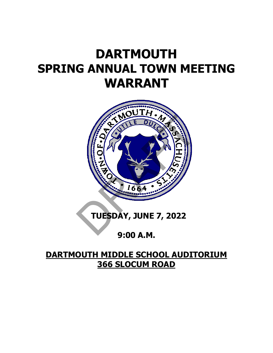# **DARTMOUTH SPRING ANNUAL TOWN MEETING WARRANT**



## **9:00 A.M.**

### **DARTMOUTH MIDDLE SCHOOL AUDITORIUM 366 SLOCUM ROAD**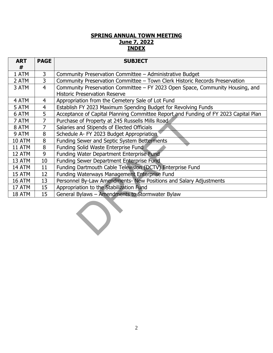#### **SPRING ANNUAL TOWN MEETING June 7, 2022 INDEX**

| <b>ART</b><br># | <b>PAGE</b>    | <b>SUBJECT</b>                                                                      |
|-----------------|----------------|-------------------------------------------------------------------------------------|
| 1 ATM           | 3              | Community Preservation Committee - Administrative Budget                            |
| 2 ATM           | $\overline{3}$ | Community Preservation Committee - Town Clerk Historic Records Preservation         |
| 3 ATM           | $\overline{4}$ | Community Preservation Committee - FY 2023 Open Space, Community Housing, and       |
|                 |                | <b>Historic Preservation Reserve</b>                                                |
| 4 ATM           | 4              | Appropriation from the Cemetery Sale of Lot Fund                                    |
| 5 ATM           | $\overline{4}$ | Establish FY 2023 Maximum Spending Budget for Revolving Funds                       |
| 6 ATM           | 5              | Acceptance of Capital Planning Committee Report and Funding of FY 2023 Capital Plan |
| 7 ATM           | $\overline{7}$ | Purchase of Property at 245 Russells Mills Road                                     |
| 8 ATM           | $\overline{7}$ | Salaries and Stipends of Elected Officials                                          |
| 9 ATM           | 8              | Schedule A- FY 2023 Budget Appropriation                                            |
| 10 ATM          | 8              | Funding Sewer and Septic System Betterments                                         |
| 11 ATM          | 8              | Funding Solid Waste Enterprise Fund                                                 |
| 12 ATM          | 9              | Funding Water Department Enterprise Fund                                            |
| 13 ATM          | 10             | Funding Sewer Department Enterprise Fund                                            |
| 14 ATM          | 11             | Funding Dartmouth Cable Television (DCTV) Enterprise Fund                           |
| 15 ATM          | 12             | Funding Waterways Management Enterprise Fund                                        |
| 16 ATM          | 13             | Personnel By-Law Amendments- New Positions and Salary Adjustments                   |
| 17 ATM          | 15             | Appropriation to the Stabilization Fund                                             |
| 18 ATM          | 15             | General Bylaws - Amendments to Stormwater Bylaw                                     |
|                 |                |                                                                                     |

2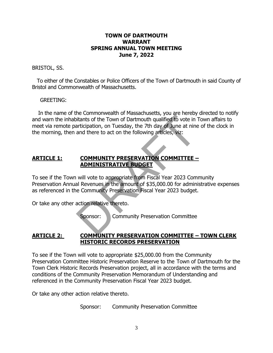#### **TOWN OF DARTMOUTH WARRANT SPRING ANNUAL TOWN MEETING June 7, 2022**

#### BRISTOL, SS.

 To either of the Constables or Police Officers of the Town of Dartmouth in said County of Bristol and Commonwealth of Massachusetts.

#### GREETING:

In the name of the Commonwealth of Massachusetts, you are hereby directed to notify and warn the inhabitants of the Town of Dartmouth qualified to vote in Town affairs to meet via remote participation, on Tuesday, the 7th day of June at nine of the clock in the morning, then and there to act on the following articles, viz: itiants of the Town of Dartmouth qualified to vote in<br>anticipation, on Tuesday, the 7th day of June at nine<br>and there to act on the following articles, viz:<br>and there to act on the following articles, viz:<br><br>**COMMUNITY PRES** 

#### **ARTICLE 1: COMMUNITY PRESERVATION COMMITTEE – ADMINISTRATIVE BUDGET**

To see if the Town will vote to appropriate from Fiscal Year 2023 Community Preservation Annual Revenues in the amount of \$35,000.00 for administrative expenses as referenced in the Community Preservation Fiscal Year 2023 budget.

Or take any other action relative thereto.

Sponsor: Community Preservation Committee

#### **ARTICLE 2: COMMUNITY PRESERVATION COMMITTEE – TOWN CLERK HISTORIC RECORDS PRESERVATION**

To see if the Town will vote to appropriate \$25,000.00 from the Community Preservation Committee Historic Preservation Reserve to the Town of Dartmouth for the Town Clerk Historic Records Preservation project, all in accordance with the terms and conditions of the Community Preservation Memorandum of Understanding and referenced in the Community Preservation Fiscal Year 2023 budget.

Or take any other action relative thereto.

Sponsor: Community Preservation Committee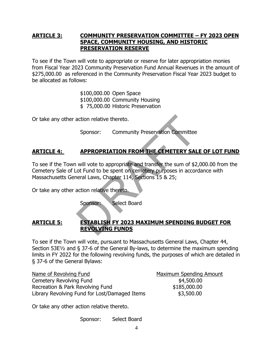#### **ARTICLE 3: COMMUNITY PRESERVATION COMMITTEE – FY 2023 OPEN SPACE, COMMUNITY HOUSING, AND HISTORIC PRESERVATION RESERVE**

To see if the Town will vote to appropriate or reserve for later appropriation monies from Fiscal Year 2023 Community Preservation Fund Annual Revenues in the amount of \$275,000.00 as referenced in the Community Preservation Fiscal Year 2023 budget to be allocated as follows:

> \$100,000.00 Open Space \$100,000.00 Community Housing \$ 75,000.00 Historic Preservation

Or take any other action relative thereto.

Sponsor: Community Preservation Committee

### **ARTICLE 4: APPROPRIATION FROM THE CEMETERY SALE OF LOT FUND**

To see if the Town will vote to appropriate and transfer the sum of \$2,000.00 from the Cemetery Sale of Lot Fund to be spent on cemetery purposes in accordance with Massachusetts General Laws, Chapter 114, Sections 15 & 25; action relative thereto.<br>
Sponsor: Community Preservation Committee<br> **APPROPRIATION FROM THE CEMETERY SAL**<br>
will vote to appropriate and transfer the sum of \$2<br>
ot Fund to be spent on cemetery purposes in accor<br>
oteral Law

Or take any other action relative thereto.

Sponsor: Select Board

#### **ARTICLE 5: ESTABLISH FY 2023 MAXIMUM SPENDING BUDGET FOR REVOLVING FUNDS**

To see if the Town will vote, pursuant to Massachusetts General Laws, Chapter 44, Section 53E½ and § 37-6 of the General By-laws, to determine the maximum spending limits in FY 2022 for the following revolving funds, the purposes of which are detailed in § 37-6 of the General Bylaws:

| Name of Revolving Fund                        | <b>Maximum Spending Amount</b> |
|-----------------------------------------------|--------------------------------|
| Cemetery Revolving Fund                       | \$4,500.00                     |
| Recreation & Park Revolving Fund              | \$185,000.00                   |
| Library Revolving Fund for Lost/Damaged Items | \$3,500.00                     |

Or take any other action relative thereto.

Sponsor: Select Board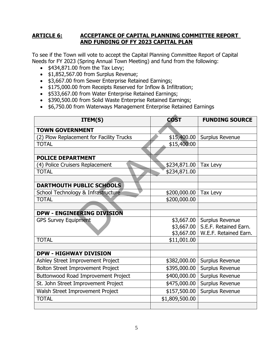#### **ARTICLE 6: ACCEPTANCE OF CAPITAL PLANNING COMMITTEE REPORT AND FUNDING OF FY 2023 CAPITAL PLAN**

To see if the Town will vote to accept the Capital Planning Committee Report of Capital Needs for FY 2023 (Spring Annual Town Meeting) and fund from the following:

- $\bullet$  \$434,871.00 from the Tax Levy;
- \$1,852,567.00 from Surplus Revenue;
- \$3,667.00 from Sewer Enterprise Retained Earnings;
- \$175,000.00 from Receipts Reserved for Inflow & Infiltration;
- \$533,667.00 from Water Enterprise Retained Earnings;
- \$390,500.00 from Solid Waste Enterprise Retained Earnings;
- \$6,750.00 from Waterways Management Enterprise Retained Earnings

| ITEM(S)                                  | <b>COST</b>    | <b>FUNDING SOURCE</b> |
|------------------------------------------|----------------|-----------------------|
| <b>TOWN GOVERNMENT</b>                   |                |                       |
| (2) Plow Replacement for Facility Trucks | \$15,400.00    | Surplus Revenue       |
| <b>TOTAL</b>                             | \$15,400.00    |                       |
|                                          |                |                       |
| <b>POLICE DEPARTMENT</b>                 |                |                       |
| (4) Police Cruisers Replacement          | \$234,871.00   | Tax Levy              |
| <b>TOTAL</b>                             | \$234,871.00   |                       |
|                                          |                |                       |
| DARTMOUTH PUBLIC SCHOOLS                 |                |                       |
| School Technology & Infrastructure       | \$200,000.00   | Tax Levy              |
| <b>TOTAL</b>                             | \$200,000.00   |                       |
|                                          |                |                       |
| <b>DPW - ENGINEERING DIVISION</b>        |                |                       |
| <b>GPS Survey Equipment</b>              | \$3,667.00     | Surplus Revenue       |
|                                          | \$3,667.00     | S.E.F. Retained Earn. |
|                                          | \$3,667.00     | W.E.F. Retained Earn. |
| <b>TOTAL</b>                             | \$11,001.00    |                       |
|                                          |                |                       |
| <b>DPW - HIGHWAY DIVISION</b>            |                |                       |
| Ashley Street Improvement Project        | \$382,000.00   | Surplus Revenue       |
| Bolton Street Improvement Project        | \$395,000.00   | Surplus Revenue       |
| Buttonwood Road Improvement Project      | \$400,000.00   | Surplus Revenue       |
| St. John Street Improvement Project      | \$475,000.00   | Surplus Revenue       |
| Walsh Street Improvement Project         | \$157,500.00   | Surplus Revenue       |
| <b>TOTAL</b>                             | \$1,809,500.00 |                       |
|                                          |                |                       |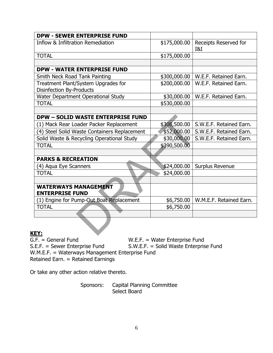| <b>DPW - SEWER ENTERPRISE FUND</b>                                     |              |                              |
|------------------------------------------------------------------------|--------------|------------------------------|
| <b>Inflow &amp; Infiltration Remediation</b>                           | \$175,000.00 | Receipts Reserved for<br>I&I |
| <b>TOTAL</b>                                                           | \$175,000.00 |                              |
|                                                                        |              |                              |
| <b>DPW - WATER ENTERPRISE FUND</b>                                     |              |                              |
| Smith Neck Road Tank Painting                                          | \$300,000.00 | W.E.F. Retained Earn.        |
| Treatment Plant/System Upgrades for<br><b>Disinfection By-Products</b> | \$200,000.00 | W.E.F. Retained Earn.        |
| Water Department Operational Study                                     | \$30,000.00  | W.E.F. Retained Earn.        |
| <b>TOTAL</b>                                                           | \$530,000.00 |                              |
|                                                                        |              |                              |
| <b>DPW - SOLID WASTE ENTERPRISE FUND</b>                               |              |                              |
| (1) Mack Rear Loader Packer Replacement                                | \$308,500.00 | S.W.E.F. Retained Earn.      |
| (4) Steel Solid Waste Containers Replacement                           | \$52,000.00  | S.W.E.F. Retained Earn.      |
| Solid Waste & Recycling Operational Study                              | \$30,000.00  | S.W.E.F. Retained Earn.      |
| <b>TOTAL</b>                                                           | \$390,500.00 |                              |
|                                                                        |              |                              |
| <b>PARKS &amp; RECREATION</b>                                          |              |                              |
| (4) Aqua Eye Scanners                                                  | \$24,000.00  | Surplus Revenue              |
| <b>TOTAL</b>                                                           | \$24,000.00  |                              |
|                                                                        |              |                              |
| <b>WATERWAYS MANAGEMENT</b><br><b>ENTERPRISE FUND</b>                  |              |                              |
| (1) Engine for Pump-Out Boat Replacement                               | \$6,750.00   | W.M.E.F. Retained Earn.      |
| <b>TOTAL</b>                                                           | \$6,750.00   |                              |
|                                                                        |              |                              |
| EY:                                                                    |              |                              |

KEY:<br>G.F. = General Fund W.E.F. = Water Enterprise Fund<br>S.W.E.F. = Solid Waste Enterprise Fund S.E.F. = Sewer Enterprise Fund S.W.E.F. = Solid Waste Enterprise Fund W.M.E.F. = Waterways Management Enterprise Fund Retained Earn. = Retained Earnings

Or take any other action relative thereto.

Sponsors: Capital Planning Committee Select Board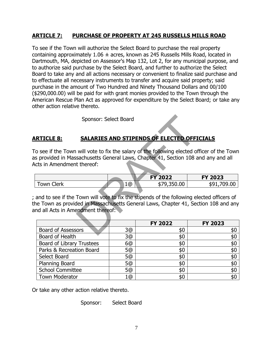#### **ARTICLE 7: PURCHASE OF PROPERTY AT 245 RUSSELLS MILLS ROAD**

To see if the Town will authorize the Select Board to purchase the real property containing approximately  $1.06 \pm \text{acres}$ , known as 245 Russells Mills Road, located in Dartmouth, MA, depicted on Assessor's Map 132, Lot 2, for any municipal purpose, and to authorize said purchase by the Select Board, and further to authorize the Select Board to take any and all actions necessary or convenient to finalize said purchase and to effectuate all necessary instruments to transfer and acquire said property; said purchase in the amount of Two Hundred and Ninety Thousand Dollars and 00/100 (\$290,000.00) will be paid for with grant monies provided to the Town through the American Rescue Plan Act as approved for expenditure by the Select Board; or take any other action relative thereto.

Sponsor: Select Board

#### **ARTICLE 8: SALARIES AND STIPENDS OF ELECTED OFFICIALS**

To see if the Town will vote to fix the salary of the following elected officer of the Town as provided in Massachusetts General Laws, Chapter 41, Section 108 and any and all Acts in Amendment thereof:

|              |    | <b>FY 2022</b> | <b>FY 2023</b> |
|--------------|----|----------------|----------------|
| `lerk<br>own | 1@ | 0.00<br>∕ ⊄    | 59<br>ıч       |
|              |    |                |                |

; and to see if the Town will vote to fix the stipends of the following elected officers of the Town as provided in Massachusetts General Laws, Chapter 41, Section 108 and any and all Acts in Amendment thereof: Sponsor: Select Board<br>
SALARIES AND STIPENDS OF ELECTED OFFI<br>
will vote to fix the salary of the following elected of<br>
sachusetts General Laws, Chapter 41, Section 108 at<br>
thereof:<br>
Town will vote to fix the stipends of th

|                                  |    | <b>FY 2022</b> | <b>FY 2023</b> |
|----------------------------------|----|----------------|----------------|
| <b>Board of Assessors</b>        | 3@ | \$0            | \$0            |
| Board of Health                  | 3@ | \$0            | \$0            |
| <b>Board of Library Trustees</b> | 6@ | \$0            | \$0            |
| Parks & Recreation Board         | 5@ | \$0            | \$0            |
| Select Board                     | 5@ | \$0            | \$0            |
| <b>Planning Board</b>            | 5@ | \$0            | \$0            |
| <b>School Committee</b>          | 5@ | \$0            | \$0            |
| <b>Town Moderator</b>            | 1@ | \$0            | \$0            |

Or take any other action relative thereto.

Sponsor: Select Board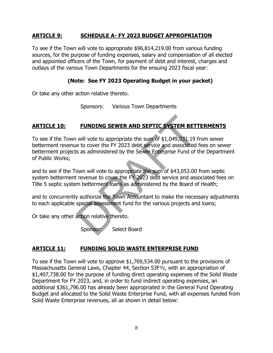#### **ARTICLE 9: SCHEDULE A- FY 2023 BUDGET APPROPRIATION**

To see if the Town will vote to appropriate \$96,814,219.00 from various funding sources, for the purpose of funding expenses, salary and compensation of all elected and appointed officers of the Town, for payment of debt and interest, charges and outlays of the various Town Departments for the ensuing 2023 fiscal year:

#### **(Note: See FY 2023 Operating Budget in your packet)**

Or take any other action relative thereto.

Sponsors: Various Town Departments

#### **ARTICLE 10: FUNDING SEWER AND SEPTIC SYSTEM BETTERMENTS**

To see if the Town will vote to appropriate the sum of \$1,049,031.19 from sewer betterment revenue to cover the FY 2023 debt service and associated fees on sewer betterment projects as administered by the Sewer Enterprise Fund of the Department of Public Works; **FUNDING SEWER AND SEPTIC SYSTEM BET**<br>will vote to appropriate the sum of \$1,049,031.19<br>e to cover the FY 2023 debt service and associated<br>s as administered by the Sewer Enterprise Fund of<br>own will vote to appropriate the

and to see if the Town will vote to appropriate the sum of \$43,053.00 from septic system betterment revenue to cover the FY 2023 debt service and associated fees on Title 5 septic system betterment loans as administered by the Board of Health;

and to concurrently authorize the Town Accountant to make the necessary adjustments to each applicable special assessment fund for the various projects and loans;

Or take any other action relative thereto.

Sponsor: Select Board

#### **ARTICLE 11: FUNDING SOLID WASTE ENTERPRISE FUND**

To see if the Town will vote to approve \$1,769,534.00 pursuant to the provisions of Massachusetts General Laws, Chapter 44, Section 53F½, with an appropriation of \$1,407,738.00 for the purpose of funding direct operating expenses of the Solid Waste Department for FY 2023, and, in order to fund indirect operating expenses, an additional \$361,796.00 has already been appropriated in the General Fund Operating Budget and allocated to the Solid Waste Enterprise Fund, with all expenses funded from Solid Waste Enterprise revenues, all as shown in detail below: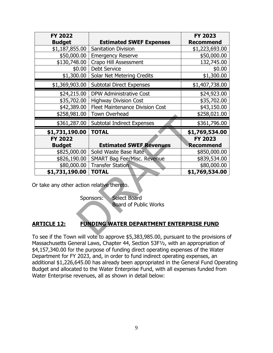| <b>FY 2022</b>                             |                                                           | <b>FY 2023</b>   |
|--------------------------------------------|-----------------------------------------------------------|------------------|
| <b>Budget</b>                              | <b>Estimated SWEF Expenses</b>                            | <b>Recommend</b> |
| \$1,187,855.00                             | <b>Sanitation Division</b>                                | \$1,223,693.00   |
| \$50,000.00                                | <b>Emergency Reserve</b>                                  | \$50,000.00      |
| \$130,748.00                               | Crapo Hill Assessment                                     | 132,745.00       |
| \$0.00                                     | <b>Debt Service</b>                                       | \$0.00           |
| \$1,300.00                                 | Solar Net Metering Credits                                | \$1,300.00       |
| \$1,369,903.00                             | <b>Subtotal Direct Expenses</b>                           | \$1,407,738.00   |
| \$24,215.00                                | <b>DPW Administrative Cost</b>                            | \$24,923.00      |
| \$35,702.00                                | <b>Highway Division Cost</b>                              | \$35,702.00      |
| \$42,389.00                                | <b>Fleet Maintenance Division Cost</b>                    | \$43,150.00      |
| \$258,981.00                               | <b>Town Overhead</b>                                      | \$258,021.00     |
|                                            | \$361,287.00   Subtotal Indirect Expenses                 | \$361,796.00     |
|                                            |                                                           |                  |
| \$1,731,190.00                             | <b>TOTAL</b>                                              | \$1,769,534.00   |
| <b>FY 2022</b>                             |                                                           | <b>FY 2023</b>   |
| <b>Budget</b>                              | <b>Estimated SWEF Revenues</b>                            | <b>Recommend</b> |
| \$825,000.00                               | Solid Waste Base Rate                                     | \$850,000.00     |
| \$826,190.00                               | <b>SMART Bag Fee/Misc. Revenue</b>                        | \$839,534.00     |
| \$80,000.00                                | <b>Transfer Station</b>                                   | \$80,000.00      |
| \$1,731,190.00                             | <b>TOTAL</b>                                              | \$1,769,534.00   |
| Or take any other action relative thereto. | Select Board<br>Sponsors:<br><b>Board of Public Works</b> |                  |

### **ARTICLE 12: FUNDING WATER DEPARTMENT ENTERPRISE FUND**

To see if the Town will vote to approve \$5,383,985.00, pursuant to the provisions of Massachusetts General Laws, Chapter 44, Section 53F½, with an appropriation of \$4,157,340.00 for the purpose of funding direct operating expenses of the Water Department for FY 2023, and, in order to fund indirect operating expenses, an additional \$1,226,645.00 has already been appropriated in the General Fund Operating Budget and allocated to the Water Enterprise Fund, with all expenses funded from Water Enterprise revenues, all as shown in detail below: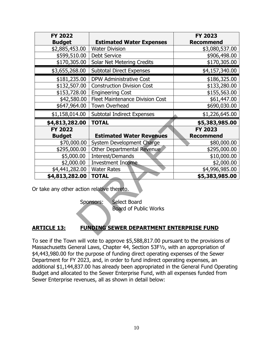| <b>FY 2022</b>                             |                                                           | <b>FY 2023</b>   |
|--------------------------------------------|-----------------------------------------------------------|------------------|
| <b>Budget</b>                              | <b>Estimated Water Expenses</b>                           | <b>Recommend</b> |
| \$2,885,453.00                             | <b>Water Division</b>                                     | \$3,080,537.00   |
| \$599,510.00                               | <b>Debt Service</b>                                       | \$906,498.00     |
| \$170,305.00                               | Solar Net Metering Credits                                | \$170,305.00     |
| \$3,655,268.00                             | <b>Subtotal Direct Expenses</b>                           | \$4,157,340.00   |
| \$181,235.00                               | <b>DPW Administrative Cost</b>                            | \$186,325.00     |
| \$132,507.00                               | <b>Construction Division Cost</b>                         | \$133,280.00     |
| \$153,728.00                               | <b>Engineering Cost</b>                                   | \$155,563.00     |
| \$42,580.00                                | <b>Fleet Maintenance Division Cost</b>                    | \$61,447.00      |
| \$647,964.00                               | Town Overhead                                             | \$690,030.00     |
| \$1,158,014.00                             | <b>Subtotal Indirect Expenses</b>                         | \$1,226,645.00   |
| \$4,813,282.00                             | <b>TOTAL</b>                                              | \$5,383,985.00   |
| <b>FY 2022</b>                             |                                                           | <b>FY 2023</b>   |
|                                            |                                                           |                  |
| <b>Budget</b>                              | <b>Estimated Water Revenues</b>                           | <b>Recommend</b> |
| \$70,000.00                                | System Development Charge                                 | \$80,000.00      |
| \$295,000.00                               | Other Departmental Revenue                                | \$295,000.00     |
| \$5,000.00                                 | Interest/Demands                                          | \$10,000.00      |
| \$2,000.00                                 | <b>Investment Income</b>                                  | \$2,000.00       |
| \$4,441,282.00                             | <b>Water Rates</b>                                        | \$4,996,985.00   |
| \$4,813,282.00                             | <b>TOTAL</b>                                              | \$5,383,985.00   |
| Or take any other action relative thereto. |                                                           |                  |
|                                            | Select Board<br>Sponsors:<br><b>Board of Public Works</b> |                  |

#### **ARTICLE 13: FUNDING SEWER DEPARTMENT ENTERPRISE FUND**

To see if the Town will vote to approve \$5,588,817.00 pursuant to the provisions of Massachusetts General Laws, Chapter 44, Section 53F½, with an appropriation of \$4,443,980.00 for the purpose of funding direct operating expenses of the Sewer Department for FY 2023, and, in order to fund indirect operating expenses, an additional \$1,144,837.00 has already been appropriated in the General Fund Operating Budget and allocated to the Sewer Enterprise Fund, with all expenses funded from Sewer Enterprise revenues, all as shown in detail below: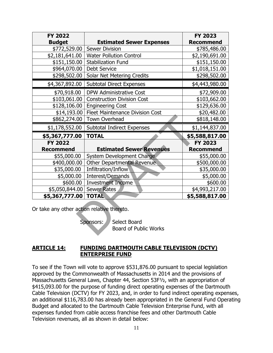| <b>FY 2022</b>                             |                                             | <b>FY 2023</b>   |
|--------------------------------------------|---------------------------------------------|------------------|
| <b>Budget</b>                              | <b>Estimated Sewer Expenses</b>             | <b>Recommend</b> |
| \$772,529.00                               | <b>Sewer Division</b>                       | \$785,486.00     |
| \$2,181,641.00                             | <b>Water Pollution Control</b>              | \$2,190,691.00   |
| \$151,150.00                               | <b>Stabilization Fund</b>                   | \$151,150.00     |
| \$964,070.00                               | <b>Debt Service</b>                         | \$1,018,151.00   |
| \$298,502.00                               | Solar Net Metering Credits                  | \$298,502.00     |
| \$4,367,892.00                             | <b>Subtotal Direct Expenses</b>             | \$4,443,980.00   |
| \$70,918.00                                | DPW Administrative Cost                     | \$72,909.00      |
| \$103,061.00                               | <b>Construction Division Cost</b>           | \$103,662.00     |
| \$128,106.00                               | <b>Engineering Cost</b>                     | \$129,636.00     |
|                                            | \$14,193.00 Fleet Maintenance Division Cost | \$20,482.00      |
| \$862,274.00                               | <b>Town Overhead</b>                        | \$818,148.00     |
| \$1,178,552.00                             | <b>Subtotal Indirect Expenses</b>           | \$1,144,837.00   |
|                                            |                                             |                  |
| \$5,367,777.00                             | <b>TOTAL</b>                                | \$5,588,817.00   |
| <b>FY 2022</b>                             |                                             | <b>FY 2023</b>   |
| <b>Recommend</b>                           | <b>Estimated Sewer Revenues</b>             | <b>Recommend</b> |
| \$55,000.00                                | System Development Charge                   | \$55,000.00      |
| \$400,000.00                               | Other Departmental Revenue                  | \$500,000.00     |
| \$35,000.00                                | Infiltration/Inflow                         | \$35,000.00      |
| \$5,000.00                                 | Interest/Demands                            | \$5,000.00       |
| \$600.00                                   | <b>Investment Income</b>                    | \$600.00         |
| \$5,050,844.00                             | <b>Sewer Rates</b>                          | \$4,993,217.00   |
| \$5,367,777.00                             | <b>TOTAL</b>                                | \$5,588,817.00   |
| Or take any other action relative thereto. |                                             |                  |
|                                            | Select Board<br>Sponsors:                   |                  |

#### **ARTICLE 14: FUNDING DARTMOUTH CABLE TELEVISION (DCTV) ENTERPRISE FUND**

To see if the Town will vote to approve \$531,876.00 pursuant to special legislation approved by the Commonwealth of Massachusetts in 2014 and the provisions of Massachusetts General Laws, Chapter 44, Section 53F½, with an appropriation of \$415,093.00 for the purpose of funding direct operating expenses of the Dartmouth Cable Television (DCTV) for FY 2023, and, in order to fund indirect operating expenses, an additional \$116,783.00 has already been appropriated in the General Fund Operating Budget and allocated to the Dartmouth Cable Television Enterprise Fund, with all expenses funded from cable access franchise fees and other Dartmouth Cable Television revenues, all as shown in detail below: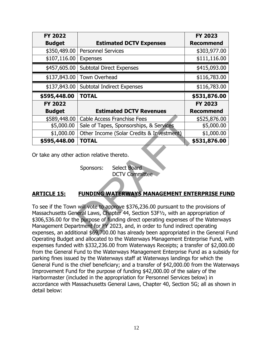| <b>FY 2022</b> |                                           | <b>FY 2023</b>   |
|----------------|-------------------------------------------|------------------|
| <b>Budget</b>  | <b>Estimated DCTV Expenses</b>            | <b>Recommend</b> |
| \$350,489.00   | <b>Personnel Services</b>                 | \$303,977.00     |
| \$107,116.00   | <b>Expenses</b>                           | \$111,116.00     |
| \$457,605.00   | <b>Subtotal Direct Expenses</b>           | \$415,093.00     |
| \$137,843.00   | <b>Town Overhead</b>                      | \$116,783.00     |
| \$137,843.00   | <b>Subtotal Indirect Expenses</b>         | \$116,783.00     |
| \$595,448.00   | <b>TOTAL</b>                              | \$531,876.00     |
| <b>FY 2022</b> |                                           | <b>FY 2023</b>   |
|                |                                           |                  |
| <b>Budget</b>  | <b>Estimated DCTV Revenues</b>            | <b>Recommend</b> |
| \$589,448.00   | <b>Cable Access Franchise Fees</b>        | \$525,876.00     |
| \$5,000.00     | Sale of Tapes, Sponsorships, & Services   | \$5,000.00       |
| \$1,000.00     | Other Income (Solar Credits & Investment) | \$1,000.00       |

Sponsors: Select Board

DCTV Committee

#### **ARTICLE 15: FUNDING WATERWAYS MANAGEMENT ENTERPRISE FUND**

To see if the Town will vote to approve \$376,236.00 pursuant to the provisions of Massachusetts General Laws, Chapter 44, Section 53F½, with an appropriation of \$306,536.00 for the purpose of funding direct operating expenses of the Waterways Management Department for FY 2023, and, in order to fund indirect operating expenses, an additional \$69,700.00 has already been appropriated in the General Fund Operating Budget and allocated to the Waterways Management Enterprise Fund, with expenses funded with \$332,236.00 from Waterways Receipts; a transfer of \$2,000.00 from the General Fund to the Waterways Management Enterprise Fund as a subsidy for parking fines issued by the Waterways staff at Waterways landings for which the General Fund is the chief beneficiary; and a transfer of \$42,000.00 from the Waterways Improvement Fund for the purpose of funding \$42,000.00 of the salary of the Harbormaster (included in the appropriation for Personnel Services below) in accordance with Massachusetts General Laws, Chapter 40, Section 5G; all as shown in detail below: Cable Access Franchise Fees<br>
Sale of Tapes, Sponsorships, & Services<br>
Other Income (Solar Credits & Investment)<br>
TOTAL<br>
action relative thereto.<br>
Sponsors: Select Board<br>
DCTV Committee<br>
FUNDING WATERWAYS MANAGEMENT ENTE<br>
w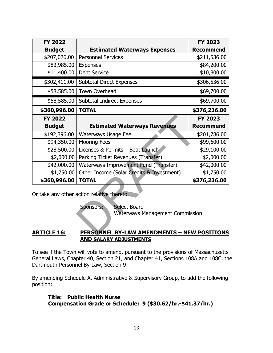| <b>FY 2022</b>     |                                                                                                                          | <b>FY 2023</b>   |
|--------------------|--------------------------------------------------------------------------------------------------------------------------|------------------|
| <b>Budget</b>      | <b>Estimated Waterways Expenses</b>                                                                                      | <b>Recommend</b> |
| \$207,026.00       | <b>Personnel Services</b>                                                                                                | \$211,536.00     |
| \$83,985.00        | <b>Expenses</b>                                                                                                          | \$84,200.00      |
| \$11,400.00        | <b>Debt Service</b>                                                                                                      | \$10,800.00      |
| \$302,411.00       | <b>Subtotal Direct Expenses</b>                                                                                          | \$306,536.00     |
| \$58,585.00        | <b>Town Overhead</b>                                                                                                     | \$69,700.00      |
| \$58,585.00        | Subtotal Indirect Expenses                                                                                               | \$69,700.00      |
| \$360,996.00       | <b>TOTAL</b>                                                                                                             | \$376,236.00     |
| <b>FY 2022</b>     |                                                                                                                          | <b>FY 2023</b>   |
| <b>Budget</b>      | <b>Estimated Waterways Revenues</b>                                                                                      | <b>Recommend</b> |
| \$192,396.00       | Waterways Usage Fee                                                                                                      | \$201,786.00     |
| \$94,350.00        | <b>Mooring Fees</b>                                                                                                      | \$99,600.00      |
| \$28,500.00        | Licenses & Permits - Boat Launch                                                                                         | \$29,100.00      |
| \$2,000.00         | Parking Ticket Revenues (Transfer)                                                                                       | \$2,000.00       |
| \$42,000.00        | Waterways Improvement Fund (Transfer)                                                                                    | \$42,000.00      |
| \$1,750.00         | Other Income (Solar Credits & Investment)                                                                                | \$1,750.00       |
| \$360,996.00       | <b>TOTAL</b>                                                                                                             | \$376,236.00     |
|                    | Or take any other action relative thereto.<br><b>Select Board</b><br>Sponsors:<br><b>Waterways Management Commission</b> |                  |
| <b>ARTICLE 16:</b> | <b>PERSONNEL BY-LAW AMENDMENTS - NEW POSITIONS</b>                                                                       |                  |

#### **ARTICLE 16: PERSONNEL BY-LAW AMENDMENTS – NEW POSITIONS AND SALARY ADJUSTMENTS**

To see if the Town will vote to amend, pursuant to the provisions of Massachusetts General Laws, Chapter 40, Section 21, and Chapter 41, Sections 108A and 108C, the Dartmouth Personnel By-Law, Section 9:

By amending Schedule A, Administrative & Supervisory Group, to add the following position:

**Title: Public Health Nurse Compensation Grade or Schedule: 9 (\$30.62/hr.-\$41.37/hr.)**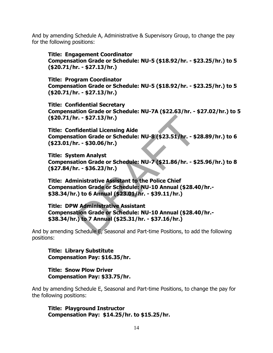And by amending Schedule A, Administrative & Supervisory Group, to change the pay for the following positions:

**Title: Engagement Coordinator Compensation Grade or Schedule: NU-5 (\$18.92/hr. - \$23.25/hr.) to 5 (\$20.71/hr. - \$27.13/hr.)** 

**Title: Program Coordinator Compensation Grade or Schedule: NU-5 (\$18.92/hr. - \$23.25/hr.) to 5 (\$20.71/hr. - \$27.13/hr.)** 

**Title: Confidential Secretary Compensation Grade or Schedule: NU-7A (\$22.63/hr. - \$27.02/hr.) to 5 (\$20.71/hr. - \$27.13/hr.)** 

**Title: Confidential Licensing Aide Compensation Grade or Schedule: NU-8 (\$23.51/hr. - \$28.89/hr.) to 6 (\$23.01/hr. - \$30.06/hr.)**  r. - \$27.13/hr.)<br>
fidential Licensing Aide<br>
tion Grade or Schedule: NU-8 (\$23.51/hr. - \$:<br>
r. - \$30.06/hr.)<br>
:em Analyst<br>
tion Grade or Schedule: NU-7 (\$21.86/hr. - \$:<br>
r. - \$36.23/hr.)<br>
iinistrative Assistant to the Polic

**Title: System Analyst Compensation Grade or Schedule: NU-7 (\$21.86/hr. - \$25.96/hr.) to 8 (\$27.84/hr. - \$36.23/hr.)** 

**Title: Administrative Assistant to the Police Chief Compensation Grade or Schedule: NU-10 Annual (\$28.40/hr.- \$38.34/hr.) to 6 Annual (\$23.01/hr. - \$39.11/hr.)** 

**Title: DPW Administrative Assistant Compensation Grade or Schedule: NU-10 Annual (\$28.40/hr.- \$38.34/hr.) to 7 Annual (\$25.31/hr. - \$37.16/hr.)** 

And by amending Schedule E, Seasonal and Part-time Positions, to add the following positions:

**Title: Library Substitute Compensation Pay: \$16.35/hr.** 

**Title: Snow Plow Driver Compensation Pay: \$33.75/hr.**

And by amending Schedule E, Seasonal and Part-time Positions, to change the pay for the following positions:

**Title: Playground Instructor Compensation Pay: \$14.25/hr. to \$15.25/hr.**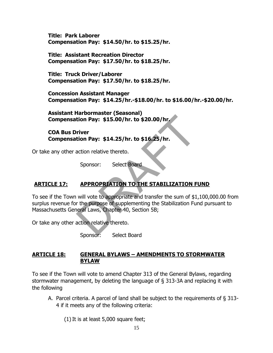**Title: Park Laborer Compensation Pay: \$14.50/hr. to \$15.25/hr.**

**Title: Assistant Recreation Director Compensation Pay: \$17.50/hr. to \$18.25/hr.**

**Title: Truck Driver/Laborer Compensation Pay: \$17.50/hr. to \$18.25/hr.**

**Concession Assistant Manager Compensation Pay: \$14.25/hr.-\$18.00/hr. to \$16.00/hr.-\$20.00/hr.**

**Assistant Harbormaster (Seasonal) Compensation Pay: \$15.00/hr. to \$20.00/hr.**

**COA Bus Driver Compensation Pay: \$14.25/hr. to \$16.25/hr.**

Or take any other action relative thereto.

Sponsor: Select Board

### **ARTICLE 17: APPROPRIATION TO THE STABILIZATION FUND**

To see if the Town will vote to appropriate and transfer the sum of \$1,100,000.00 from surplus revenue for the purpose of supplementing the Stabilization Fund pursuant to Massachusetts General Laws, Chapter 40, Section 5B; tion Pay: \$15.00/hr. to \$20.00/hr.<br>
river<br>
tion Pay: \$14.25/hr. to \$16.25/hr.<br>
action relative thereto.<br>
Sponsor: Select Board<br>
APPROPRIATION TO THE STABILIZATION F<br>
will vote to appropriate and transfer the sum of \$1<br>
r t

Or take any other action relative thereto.

Sponsor: Select Board

#### **ARTICLE 18: GENERAL BYLAWS – AMENDMENTS TO STORMWATER BYLAW**

To see if the Town will vote to amend Chapter 313 of the General Bylaws, regarding stormwater management, by deleting the language of § 313-3A and replacing it with the following

A. Parcel criteria. A parcel of land shall be subject to the requirements of § 313- 4 if it meets any of the following criteria:

 $(1)$  It is at least 5,000 square feet;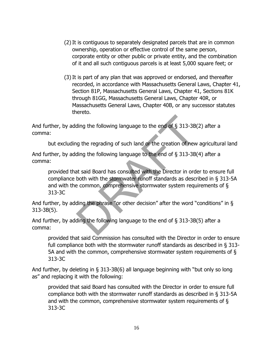- (2)It is contiguous to separately designated parcels that are in common ownership, operation or effective control of the same person, corporate entity or other public or private entity, and the combination of it and all such contiguous parcels is at least 5,000 square feet; or
- (3)It is part of any plan that was approved or endorsed, and thereafter recorded, in accordance with Massachusetts General Laws, Chapter 41, Section 81P, Massachusetts General Laws, Chapter 41, Sections 81K through 81GG, Massachusetts General Laws, Chapter 40R, or Massachusetts General Laws, Chapter 40B, or any successor statutes thereto.

And further, by adding the following language to the end of § 313-3B(2) after a comma:

but excluding the regrading of such land or the creation of new agricultural land

And further, by adding the following language to the end of § 313-3B(4) after a comma:

provided that said Board has consulted with the Director in order to ensure full compliance both with the stormwater runoff standards as described in § 313-5A and with the common, comprehensive stormwater system requirements of § 313-3C ding the following language to the end of  $\S$  313-3B(<br>g the regrading of such land or the creation of new<br>ding the following language to the end of  $\S$  313-3B(<br>at said Board has consulted with the Director in orde<br>both wi

And further, by adding the phrase "or other decision" after the word "conditions" in § 313-3B(5).

And further, by adding the following language to the end of § 313-3B(5) after a comma:

provided that said Commission has consulted with the Director in order to ensure full compliance both with the stormwater runoff standards as described in § 313- 5A and with the common, comprehensive stormwater system requirements of § 313-3C

And further, by deleting in § 313-3B(6) all language beginning with "but only so long as" and replacing it with the following:

provided that said Board has consulted with the Director in order to ensure full compliance both with the stormwater runoff standards as described in § 313-5A and with the common, comprehensive stormwater system requirements of § 313-3C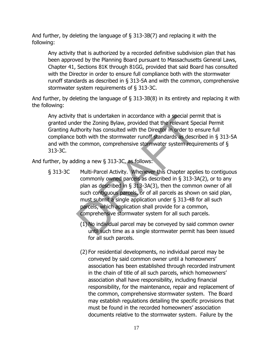And further, by deleting the language of § 313-3B(7) and replacing it with the following:

Any activity that is authorized by a recorded definitive subdivision plan that has been approved by the Planning Board pursuant to Massachusetts General Laws, Chapter 41, Sections 81K through 81GG, provided that said Board has consulted with the Director in order to ensure full compliance both with the stormwater runoff standards as described in § 313-5A and with the common, comprehensive stormwater system requirements of § 313-3C.

And further, by deleting the language of § 313-3B(8) in its entirety and replacing it with the following:

Any activity that is undertaken in accordance with a special permit that is granted under the Zoning Bylaw, provided that the relevant Special Permit Granting Authority has consulted with the Director in order to ensure full compliance both with the stormwater runoff standards as described in § 313-5A and with the common, comprehensive stormwater system requirements of § 313-3C.

And further, by adding a new  $\S$  313-3C, as follows:

- § 313-3C Multi-Parcel Activity. Whenever this Chapter applies to contiguous commonly owned parcels as described in § 313-3A(2), or to any plan as described in § 313-3A(3), then the common owner of all such contiguous parcels, or of all parcels as shown on said plan, must submit a single application under § 313-4B for all such parcels, which application shall provide for a common, comprehensive stormwater system for all such parcels. that is undertaken in accordance with a special per<br>ler the Zoning Bylaw, provided that the relevant Spector<br>thority has consulted with the Director in order to e<br>both with the stormwater runoff standards as descree<br>examon
	- (1) No individual parcel may be conveyed by said common owner until such time as a single stormwater permit has been issued for all such parcels.
	- (2) For residential developments, no individual parcel may be conveyed by said common owner until a homeowners' association has been established through recorded instrument in the chain of title of all such parcels, which homeowners' association shall have responsibility, including financial responsibility, for the maintenance, repair and replacement of the common, comprehensive stormwater system. The Board may establish regulations detailing the specific provisions that must be found in the recorded homeowners' association documents relative to the stormwater system. Failure by the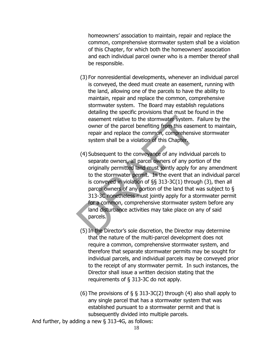homeowners' association to maintain, repair and replace the common, comprehensive stormwater system shall be a violation of this Chapter, for which both the homeowners' association and each individual parcel owner who is a member thereof shall be responsible.

- (3) For nonresidential developments, whenever an individual parcel is conveyed, the deed must create an easement, running with the land, allowing one of the parcels to have the ability to maintain, repair and replace the common, comprehensive stormwater system. The Board may establish regulations detailing the specific provisions that must be found in the easement relative to the stormwater system. Failure by the owner of the parcel benefiting from this easement to maintain, repair and replace the common, comprehensive stormwater system shall be a violation of this Chapter.
- (4) Subsequent to the conveyance of any individual parcels to separate owners, all parcel owners of any portion of the originally permitted land must jointly apply for any amendment to the stormwater permit. In the event that an individual parcel is conveyed in violation of §§ 313-3C(1) through (3), then all parcel owners of any portion of the land that was subject to § 313-3C nonetheless must jointly apply for a stormwater permit for a common, comprehensive stormwater system before any land disturbance activities may take place on any of said parcels. easement relative to the stormwater system.<br>
owner of the parcel benefiting from this easem<br>
repair and replace the common, comprehensiv<br>
system shall be a violation of this Chapter.<br>
(4) Subsequent to the conveyance of an
	- (5)In the Director's sole discretion, the Director may determine that the nature of the multi-parcel development does not require a common, comprehensive stormwater system, and therefore that separate stormwater permits may be sought for individual parcels, and individual parcels may be conveyed prior to the receipt of any stormwater permit. In such instances, the Director shall issue a written decision stating that the requirements of § 313-3C do not apply.
	- (6) The provisions of  $\S$   $\S$  313-3C(2) through (4) also shall apply to any single parcel that has a stormwater system that was established pursuant to a stormwater permit and that is subsequently divided into multiple parcels.

And further, by adding a new § 313-4G, as follows: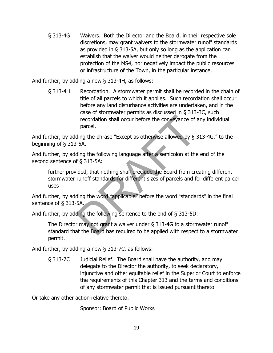§ 313-4G Waivers. Both the Director and the Board, in their respective sole discretions, may grant waivers to the stormwater runoff standards as provided in § 313-5A, but only so long as the application can establish that the waiver would neither derogate from the protection of the MS4, nor negatively impact the public resources or infrastructure of the Town, in the particular instance.

And further, by adding a new § 313-4H, as follows:

§ 313-4H Recordation. A stormwater permit shall be recorded in the chain of title of all parcels to which it applies. Such recordation shall occur before any land disturbance activities are undertaken, and in the case of stormwater permits as discussed in § 313-3C, such recordation shall occur before the conveyance of any individual parcel.

And further, by adding the phrase "Except as otherwise allowed by § 313-4G," to the beginning of § 313-5A.

And further, by adding the following language after a semicolon at the end of the second sentence of § 313-5A:

further provided, that nothing shall preclude the Board from creating different stormwater runoff standards for different sizes of parcels and for different parcel uses recordation shall occur before the conveyance of a<br>parcel.<br>ding the phrase "Except as otherwise allowed by § 3<br>-5A.<br>ding the following language after a semicolon at the<br>f § 313-5A:<br>ided, that nothing shall preclude the Boa

And further, by adding the word "applicable" before the word "standards" in the final sentence of § 313-5A.

And further, by adding the following sentence to the end of § 313-5D:

The Director may not grant a waiver under § 313-4G to a stormwater runoff standard that the Board has required to be applied with respect to a stormwater permit.

And further, by adding a new § 313-7C, as follows:

§ 313-7C Judicial Relief. The Board shall have the authority, and may delegate to the Director the authority, to seek declaratory, injunctive and other equitable relief in the Superior Court to enforce the requirements of this Chapter 313 and the terms and conditions of any stormwater permit that is issued pursuant thereto.

Or take any other action relative thereto.

Sponsor: Board of Public Works